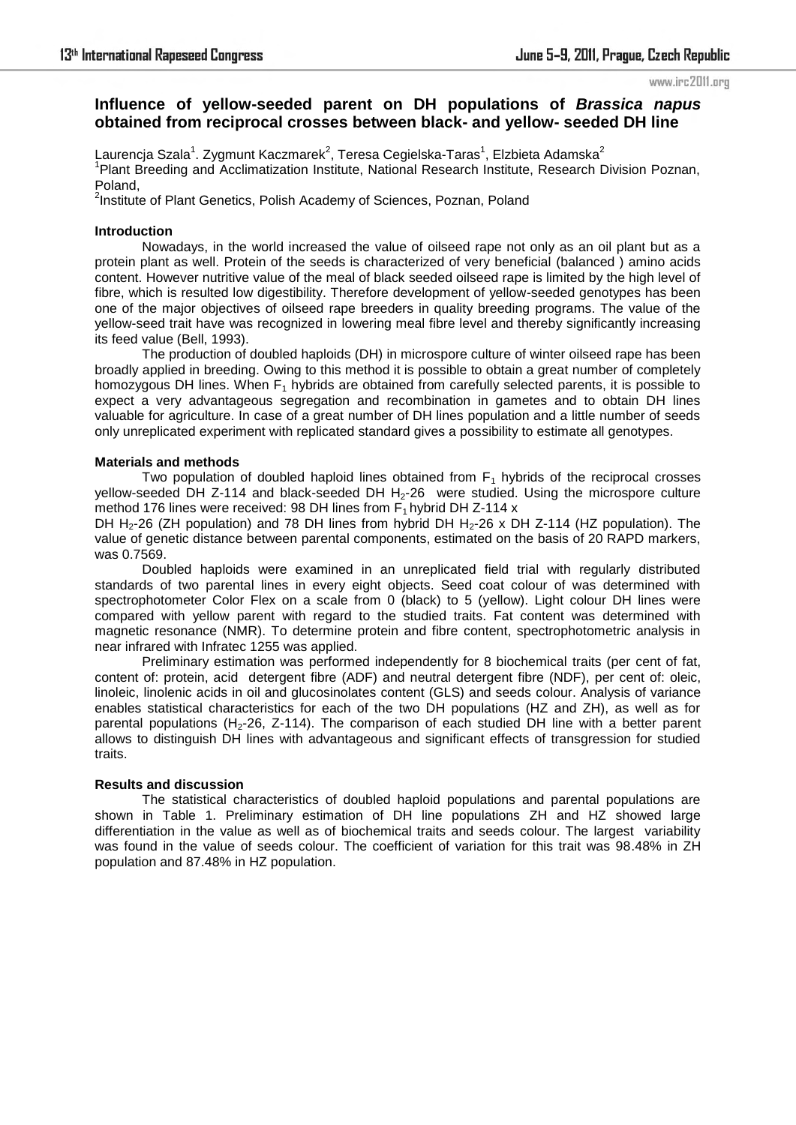#### www.irc2011.org

# **Influence of yellow-seeded parent on DH populations of** *Brassica napus* **obtained from reciprocal crosses between black- and yellow- seeded DH line**

Laurencja Szala $^1$ . Zygmunt Kaczmarek $^2$ , Teresa Cegielska-Taras $^1$ , Elzbieta Adamska $^2$ <sup>1</sup> Plant Breeding and Acclimatization Institute, National Research Institute, Research Division Poznan, Poland,

<sup>2</sup>Institute of Plant Genetics, Polish Academy of Sciences, Poznan, Poland

## **Introduction**

Nowadays, in the world increased the value of oilseed rape not only as an oil plant but as a protein plant as well. Protein of the seeds is characterized of very beneficial (balanced ) amino acids content. However nutritive value of the meal of black seeded oilseed rape is limited by the high level of fibre, which is resulted low digestibility. Therefore development of yellow-seeded genotypes has been one of the major objectives of oilseed rape breeders in quality breeding programs. The value of the yellow-seed trait have was recognized in lowering meal fibre level and thereby significantly increasing its feed value (Bell, 1993).

The production of doubled haploids (DH) in microspore culture of winter oilseed rape has been broadly applied in breeding. Owing to this method it is possible to obtain a great number of completely homozygous DH lines. When  $F_1$  hybrids are obtained from carefully selected parents, it is possible to expect a very advantageous segregation and recombination in gametes and to obtain DH lines valuable for agriculture. In case of a great number of DH lines population and a little number of seeds only unreplicated experiment with replicated standard gives a possibility to estimate all genotypes.

## **Materials and methods**

Two population of doubled haploid lines obtained from  $F_1$  hybrids of the reciprocal crosses yellow-seeded DH Z-114 and black-seeded DH H<sub>2</sub>-26 were studied. Using the microspore culture method 176 lines were received: 98 DH lines from  $F_1$  hybrid DH Z-114 x

DH H<sub>2</sub>-26 (ZH population) and 78 DH lines from hybrid DH H<sub>2</sub>-26 x DH Z-114 (HZ population). The value of genetic distance between parental components, estimated on the basis of 20 RAPD markers, was 0.7569.

 Doubled haploids were examined in an unreplicated field trial with regularly distributed standards of two parental lines in every eight objects. Seed coat colour of was determined with spectrophotometer Color Flex on a scale from 0 (black) to 5 (yellow). Light colour DH lines were compared with yellow parent with regard to the studied traits. Fat content was determined with magnetic resonance (NMR). To determine protein and fibre content, spectrophotometric analysis in near infrared with Infratec 1255 was applied.

Preliminary estimation was performed independently for 8 biochemical traits (per cent of fat, content of: protein, acid detergent fibre (ADF) and neutral detergent fibre (NDF), per cent of: oleic, linoleic, linolenic acids in oil and glucosinolates content (GLS) and seeds colour. Analysis of variance enables statistical characteristics for each of the two DH populations (HZ and ZH), as well as for parental populations ( $H_2$ -26, Z-114). The comparison of each studied DH line with a better parent allows to distinguish DH lines with advantageous and significant effects of transgression for studied traits.

## **Results and discussion**

The statistical characteristics of doubled haploid populations and parental populations are shown in Table 1. Preliminary estimation of DH line populations ZH and HZ showed large differentiation in the value as well as of biochemical traits and seeds colour. The largest variability was found in the value of seeds colour. The coefficient of variation for this trait was 98.48% in ZH population and 87.48% in HZ population.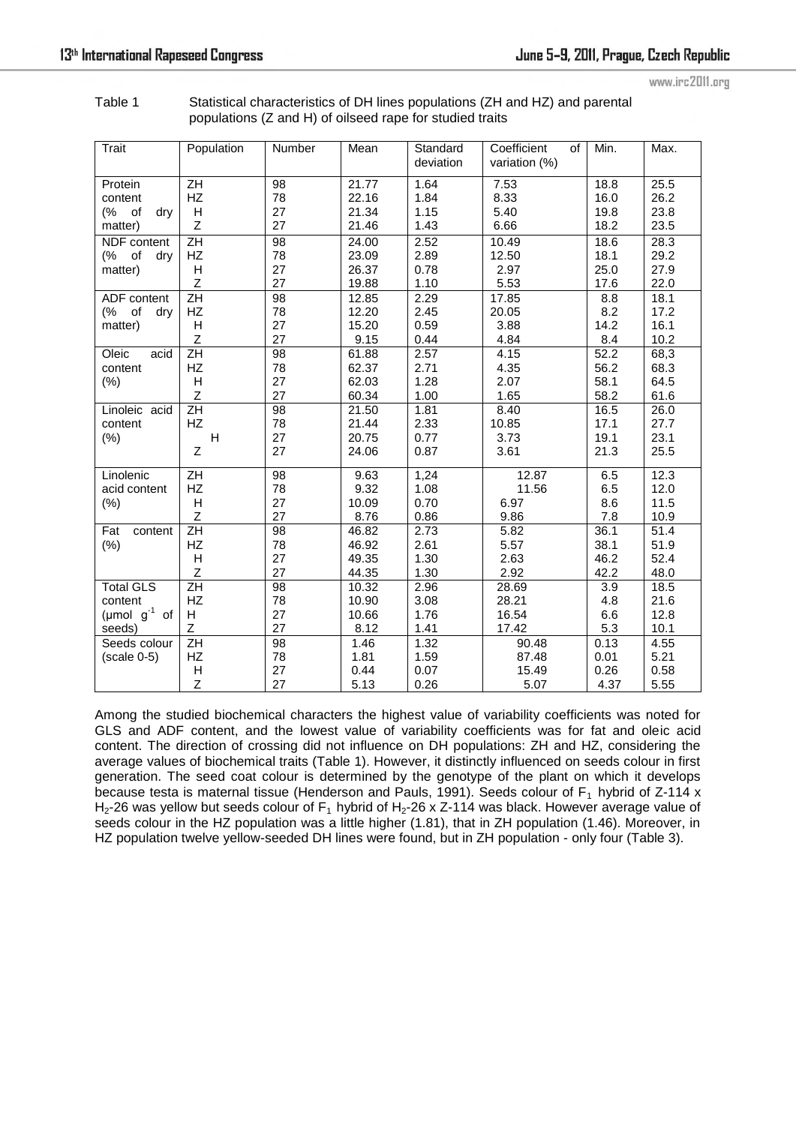www.irc2011.org

Table 1 Statistical characteristics of DH lines populations (ZH and HZ) and parental populations (Z and H) of oilseed rape for studied traits

| <b>Trait</b>                                               | Population                                | Number                            | Mean                             | Standard<br>deviation        | Coefficient<br>of<br>variation (%)          | Min.                         | Max.                         |
|------------------------------------------------------------|-------------------------------------------|-----------------------------------|----------------------------------|------------------------------|---------------------------------------------|------------------------------|------------------------------|
| Protein<br>content<br>(%<br>of<br>dry<br>matter)           | ZH<br>HZ<br>н<br>Z                        | 98<br>78<br>27<br>27              | 21.77<br>22.16<br>21.34<br>21.46 | 1.64<br>1.84<br>1.15<br>1.43 | 7.53<br>8.33<br>5.40<br>6.66                | 18.8<br>16.0<br>19.8<br>18.2 | 25.5<br>26.2<br>23.8<br>23.5 |
| NDF content<br>(%<br>of<br>dry<br>matter)                  | $\overline{ZH}$<br>HZ<br>Н<br>Z           | 98<br>78<br>27<br>27              | 24.00<br>23.09<br>26.37<br>19.88 | 2.52<br>2.89<br>0.78<br>1.10 | $\overline{10.49}$<br>12.50<br>2.97<br>5.53 | 18.6<br>18.1<br>25.0<br>17.6 | 28.3<br>29.2<br>27.9<br>22.0 |
| ADF content<br>of<br>(%<br>dry<br>matter)                  | $\overline{ZH}$<br>HZ<br>H<br>Z           | 98<br>78<br>27<br>27              | 12.85<br>12.20<br>15.20<br>9.15  | 2.29<br>2.45<br>0.59<br>0.44 | 17.85<br>20.05<br>3.88<br>4.84              | 8.8<br>8.2<br>14.2<br>8.4    | 18.1<br>17.2<br>16.1<br>10.2 |
| Oleic<br>acid<br>content<br>(% )                           | ΖH<br><b>HZ</b><br>н<br>Z                 | 98<br>78<br>27<br>27              | 61.88<br>62.37<br>62.03<br>60.34 | 2.57<br>2.71<br>1.28<br>1.00 | 4.15<br>4.35<br>2.07<br>1.65                | 52.2<br>56.2<br>58.1<br>58.2 | 68,3<br>68.3<br>64.5<br>61.6 |
| Linoleic acid<br>content<br>(%)                            | $\overline{ZH}$<br>HZ<br>H<br>$\mathsf Z$ | $\overline{98}$<br>78<br>27<br>27 | 21.50<br>21.44<br>20.75<br>24.06 | 1.81<br>2.33<br>0.77<br>0.87 | 8.40<br>10.85<br>3.73<br>3.61               | 16.5<br>17.1<br>19.1<br>21.3 | 26.0<br>27.7<br>23.1<br>25.5 |
| Linolenic<br>acid content<br>(% )                          | ZH<br><b>HZ</b><br>н<br>Z                 | 98<br>78<br>27<br>27              | 9.63<br>9.32<br>10.09<br>8.76    | 1,24<br>1.08<br>0.70<br>0.86 | 12.87<br>11.56<br>6.97<br>9.86              | 6.5<br>6.5<br>8.6<br>7.8     | 12.3<br>12.0<br>11.5<br>10.9 |
| content<br>Fat<br>(% )                                     | ZH<br>HZ<br>н<br>Z                        | 98<br>78<br>27<br>27              | 46.82<br>46.92<br>49.35<br>44.35 | 2.73<br>2.61<br>1.30<br>1.30 | 5.82<br>5.57<br>2.63<br>2.92                | 36.1<br>38.1<br>46.2<br>42.2 | 51.4<br>51.9<br>52.4<br>48.0 |
| <b>Total GLS</b><br>content<br>(µmol $g^{-1}$ of<br>seeds) | ZH<br><b>HZ</b><br>H<br>Z                 | 98<br>78<br>27<br>27              | 10.32<br>10.90<br>10.66<br>8.12  | 2.96<br>3.08<br>1.76<br>1.41 | 28.69<br>28.21<br>16.54<br>17.42            | 3.9<br>4.8<br>6.6<br>5.3     | 18.5<br>21.6<br>12.8<br>10.1 |
| Seeds colour<br>$(scale 0-5)$                              | ZH<br>HZ<br>Н<br>Z                        | 98<br>78<br>27<br>27              | 1.46<br>1.81<br>0.44<br>5.13     | 1.32<br>1.59<br>0.07<br>0.26 | 90.48<br>87.48<br>15.49<br>5.07             | 0.13<br>0.01<br>0.26<br>4.37 | 4.55<br>5.21<br>0.58<br>5.55 |

Among the studied biochemical characters the highest value of variability coefficients was noted for GLS and ADF content, and the lowest value of variability coefficients was for fat and oleic acid content. The direction of crossing did not influence on DH populations: ZH and HZ, considering the average values of biochemical traits (Table 1). However, it distinctly influenced on seeds colour in first generation. The seed coat colour is determined by the genotype of the plant on which it develops because testa is maternal tissue (Henderson and Pauls, 1991). Seeds colour of  $F_1$  hybrid of Z-114 x  $H_2$ -26 was yellow but seeds colour of F<sub>1</sub> hybrid of H<sub>2</sub>-26 x Z-114 was black. However average value of seeds colour in the HZ population was a little higher (1.81), that in ZH population (1.46). Moreover, in HZ population twelve yellow-seeded DH lines were found, but in ZH population - only four (Table 3).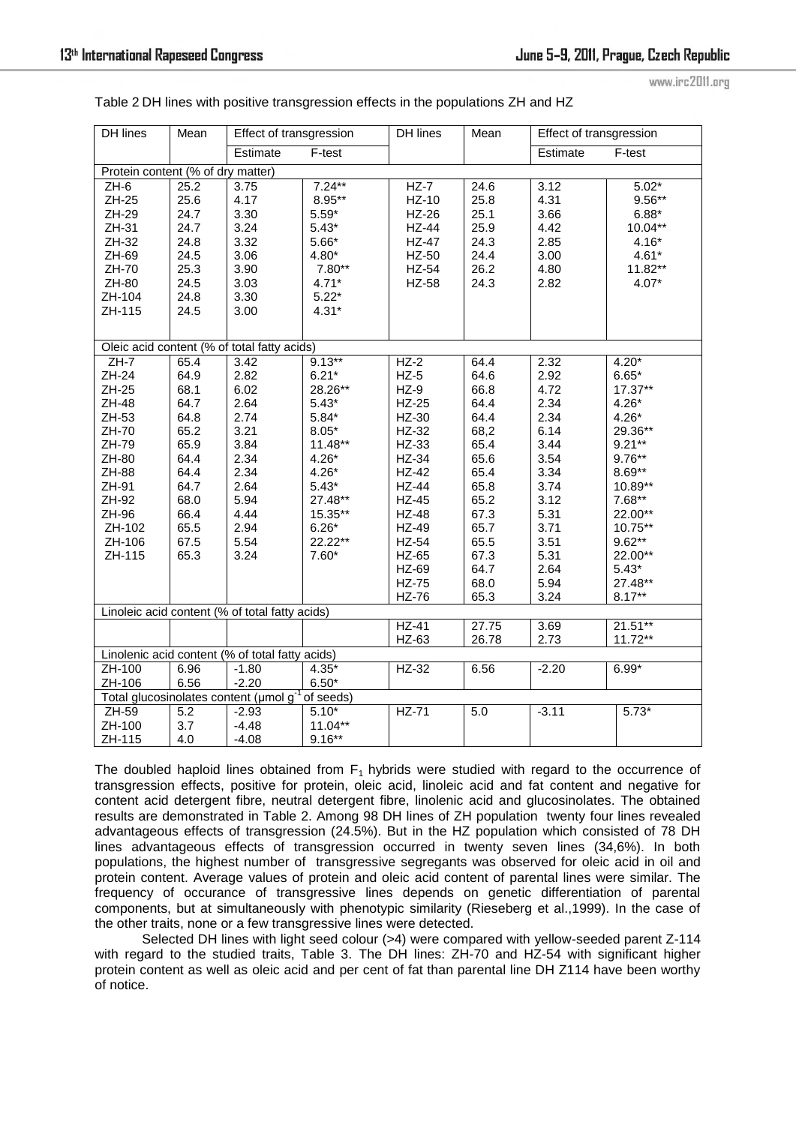| www.irc2011.org |  |  |
|-----------------|--|--|
|                 |  |  |

| <b>DH</b> lines                                 | Mean         | Effect of transgression                            |                    | <b>DH</b> lines  | Mean         | Effect of transgression |                    |  |
|-------------------------------------------------|--------------|----------------------------------------------------|--------------------|------------------|--------------|-------------------------|--------------------|--|
|                                                 |              | Estimate                                           | F-test             |                  |              | Estimate<br>F-test      |                    |  |
| Protein content (% of dry matter)               |              |                                                    |                    |                  |              |                         |                    |  |
| $ZH-6$                                          | 25.2         | 3.75<br>4.17                                       | $7.24***$          | $HZ-7$           | 24.6         | 3.12                    | $5.02*$            |  |
| ZH-25                                           | 25.6<br>24.7 |                                                    | $8.95***$          | $HZ-10$<br>HZ-26 | 25.8<br>25.1 | 4.31                    | $9.56**$           |  |
| ZH-29<br>ZH-31                                  | 24.7         | 3.30<br>3.24                                       | $5.59*$<br>$5.43*$ | $HZ-44$          | 25.9         | 3.66<br>4.42            | $6.88*$<br>10.04** |  |
| ZH-32                                           | 24.8         | 3.32                                               | $5.66*$            | <b>HZ-47</b>     | 24.3         | 2.85                    | $4.16*$            |  |
| ZH-69                                           | 24.5         | 3.06                                               | $4.80*$            | HZ-50            | 24.4         | 3.00                    | $4.61*$            |  |
| ZH-70                                           | 25.3         | 3.90                                               | $7.80**$           | HZ-54            | 26.2         | 4.80                    | 11.82**            |  |
| ZH-80                                           | 24.5         | 3.03                                               | $4.71*$            | HZ-58            | 24.3         | 2.82                    | $4.07*$            |  |
| ZH-104                                          | 24.8         | 3.30                                               | $5.22*$            |                  |              |                         |                    |  |
| ZH-115                                          | 24.5         | 3.00                                               | $4.31*$            |                  |              |                         |                    |  |
|                                                 |              |                                                    |                    |                  |              |                         |                    |  |
|                                                 |              |                                                    |                    |                  |              |                         |                    |  |
|                                                 |              | Oleic acid content (% of total fatty acids)        |                    |                  |              |                         |                    |  |
| $ZH-7$                                          | 65.4         | 3.42                                               | $9.13***$          | $HZ-2$           | 64.4         | 2.32                    | $4.20*$            |  |
| ZH-24                                           | 64.9         | 2.82                                               | $6.21*$            | $HZ-5$           | 64.6         | 2.92                    | $6.65*$            |  |
| ZH-25                                           | 68.1         | 6.02                                               | 28.26**            | $HZ-9$           | 66.8         | 4.72                    | $17.37**$          |  |
| ZH-48                                           | 64.7         | 2.64                                               | $5.43*$            | $HZ-25$          | 64.4         | 2.34                    | $4.26*$            |  |
| ZH-53                                           | 64.8         | 2.74                                               | $5.84*$            | HZ-30            | 64.4         | 2.34                    | $4.26*$            |  |
| ZH-70                                           | 65.2         | 3.21                                               | $8.05*$            | HZ-32            | 68,2         | 6.14                    | 29.36**            |  |
| ZH-79                                           | 65.9         | 3.84                                               | $11.48**$          | HZ-33            | 65.4         | 3.44                    | $9.21***$          |  |
| ZH-80                                           | 64.4         | 2.34                                               | $4.26*$            | HZ-34            | 65.6         | 3.54                    | $9.76**$           |  |
| ZH-88                                           | 64.4         | 2.34                                               | $4.26*$            | $HZ-42$          | 65.4         | 3.34                    | $8.69**$           |  |
| ZH-91                                           | 64.7         | 2.64                                               | $5.43*$            | $HZ-44$          | 65.8         | 3.74                    | 10.89**            |  |
| ZH-92                                           | 68.0         | 5.94                                               | 27.48**            | $HZ-45$          | 65.2         | 3.12                    | $7.68**$           |  |
| ZH-96                                           | 66.4         | 4.44                                               | 15.35**            | <b>HZ-48</b>     | 67.3         | 5.31                    | 22.00**            |  |
| ZH-102                                          | 65.5         | 2.94                                               | $6.26*$            | HZ-49            | 65.7         | 3.71                    | 10.75**            |  |
| ZH-106                                          | 67.5         | 5.54                                               | 22.22**            | HZ-54            | 65.5         | 3.51                    | $9.62**$           |  |
| ZH-115                                          | 65.3         | 3.24                                               | $7.60*$            | HZ-65            | 67.3         | 5.31                    | 22.00**            |  |
|                                                 |              |                                                    |                    | HZ-69            | 64.7         | 2.64                    | $5.43*$            |  |
|                                                 |              |                                                    |                    | <b>HZ-75</b>     | 68.0         | 5.94                    | 27.48**            |  |
|                                                 |              |                                                    |                    | HZ-76            | 65.3         | 3.24                    | $8.17***$          |  |
| Linoleic acid content (% of total fatty acids)  |              |                                                    |                    |                  |              |                         |                    |  |
|                                                 |              |                                                    |                    | $HZ-41$          | 27.75        | 3.69                    | $21.51**$          |  |
|                                                 |              |                                                    |                    | HZ-63            | 26.78        | 2.73                    | $11.72**$          |  |
| Linolenic acid content (% of total fatty acids) |              |                                                    |                    |                  |              |                         |                    |  |
| ZH-100                                          | 6.96         | $-1.80$                                            | $4.35*$            | HZ-32            | 6.56         | $-2.20$                 | $6.99*$            |  |
| ZH-106                                          | 6.56         | $-2.20$                                            | $6.50*$            |                  |              |                         |                    |  |
|                                                 |              | Total glucosinolates content (umol g <sup>-1</sup> | of seeds)          |                  |              |                         |                    |  |
| ZH-59                                           | 5.2          | $-2.93$                                            | $5.10*$            | HZ-71            | 5.0          | $-3.11$                 | $5.73*$            |  |
| ZH-100                                          | 3.7          | $-4.48$                                            | $11.04**$          |                  |              |                         |                    |  |
| ZH-115                                          | 4.0          | $-4.08$                                            | $9.16***$          |                  |              |                         |                    |  |

Table 2 DH lines with positive transgression effects in the populations ZH and HZ

The doubled haploid lines obtained from  $F_1$  hybrids were studied with regard to the occurrence of transgression effects, positive for protein, oleic acid, linoleic acid and fat content and negative for content acid detergent fibre, neutral detergent fibre, linolenic acid and glucosinolates. The obtained results are demonstrated in Table 2. Among 98 DH lines of ZH population twenty four lines revealed advantageous effects of transgression (24.5%). But in the HZ population which consisted of 78 DH lines advantageous effects of transgression occurred in twenty seven lines (34,6%). In both populations, the highest number of transgressive segregants was observed for oleic acid in oil and protein content. Average values of protein and oleic acid content of parental lines were similar. The frequency of occurance of transgressive lines depends on genetic differentiation of parental components, but at simultaneously with phenotypic similarity (Rieseberg et al.,1999). In the case of the other traits, none or a few transgressive lines were detected.

Selected DH lines with light seed colour (>4) were compared with yellow-seeded parent Z-114 with regard to the studied traits, Table 3. The DH lines: ZH-70 and HZ-54 with significant higher protein content as well as oleic acid and per cent of fat than parental line DH Z114 have been worthy of notice.